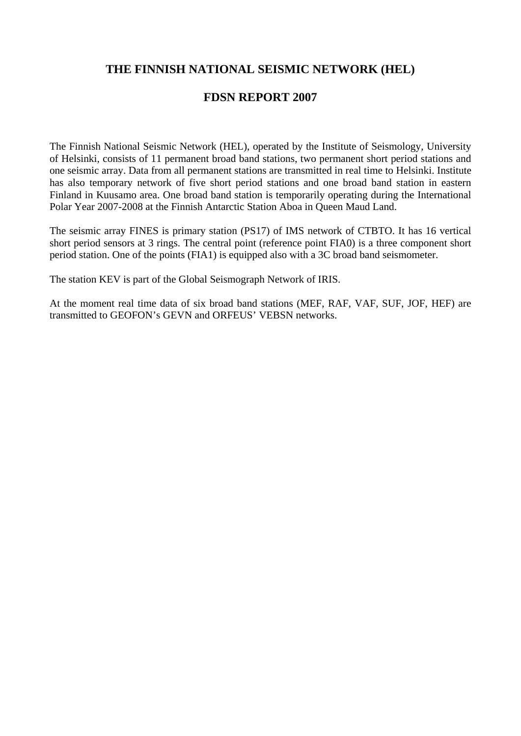## **THE FINNISH NATIONAL SEISMIC NETWORK (HEL)**

## **FDSN REPORT 2007**

The Finnish National Seismic Network (HEL), operated by the Institute of Seismology, University of Helsinki, consists of 11 permanent broad band stations, two permanent short period stations and one seismic array. Data from all permanent stations are transmitted in real time to Helsinki. Institute has also temporary network of five short period stations and one broad band station in eastern Finland in Kuusamo area. One broad band station is temporarily operating during the International Polar Year 2007-2008 at the Finnish Antarctic Station Aboa in Queen Maud Land.

The seismic array FINES is primary station (PS17) of IMS network of CTBTO. It has 16 vertical short period sensors at 3 rings. The central point (reference point FIA0) is a three component short period station. One of the points (FIA1) is equipped also with a 3C broad band seismometer.

The station KEV is part of the Global Seismograph Network of IRIS.

At the moment real time data of six broad band stations (MEF, RAF, VAF, SUF, JOF, HEF) are transmitted to GEOFON's GEVN and ORFEUS' VEBSN networks.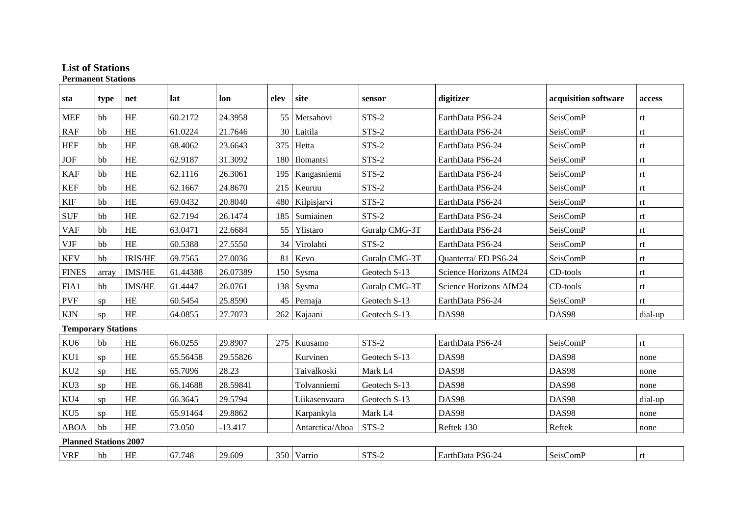## **List of Stations Permanent Stations**

| sta                          | type           | net            | lat      | lon       | elev | site            | sensor        | digitizer              | acquisition software | access  |
|------------------------------|----------------|----------------|----------|-----------|------|-----------------|---------------|------------------------|----------------------|---------|
| <b>MEF</b>                   | bb             | HE             | 60.2172  | 24.3958   |      | 55 Metsahovi    | $STS-2$       | EarthData PS6-24       | SeisComP             | rt      |
| RAF                          | b <sub>b</sub> | HE             | 61.0224  | 21.7646   |      | 30 Laitila      | STS-2         | EarthData PS6-24       | SeisComP             | rt      |
| <b>HEF</b>                   | bb             | HE             | 68.4062  | 23.6643   |      | 375 Hetta       | STS-2         | EarthData PS6-24       | SeisComP             | rt      |
| <b>JOF</b>                   | b <sub>b</sub> | <b>HE</b>      | 62.9187  | 31.3092   |      | 180 Ilomantsi   | STS-2         | EarthData PS6-24       | SeisComP             | rt      |
| <b>KAF</b>                   | b <sub>b</sub> | <b>HE</b>      | 62.1116  | 26.3061   | 195  | Kangasniemi     | STS-2         | EarthData PS6-24       | SeisComP             | rt      |
| <b>KEF</b>                   | bb             | $\rm HE$       | 62.1667  | 24.8670   |      | 215 Keuruu      | STS-2         | EarthData PS6-24       | SeisComP             | rt      |
| <b>KIF</b>                   | b <sub>b</sub> | HE             | 69.0432  | 20.8040   |      | 480 Kilpisjarvi | STS-2         | EarthData PS6-24       | SeisComP             | rt      |
| <b>SUF</b>                   | bb             | <b>HE</b>      | 62.7194  | 26.1474   | 185  | Sumiainen       | $STS-2$       | EarthData PS6-24       | SeisComP             | rt      |
| <b>VAF</b>                   | hh             | HE             | 63.0471  | 22.6684   |      | 55 Ylistaro     | Guralp CMG-3T | EarthData PS6-24       | SeisComP             | rt      |
| <b>VJF</b>                   | bb             | <b>HE</b>      | 60.5388  | 27.5550   | 34   | Virolahti       | STS-2         | EarthData PS6-24       | SeisComP             | rt      |
| <b>KEV</b>                   | bb             | <b>IRIS/HE</b> | 69.7565  | 27.0036   |      | 81 Kevo         | Guralp CMG-3T | Quanterra/ED PS6-24    | SeisComP             | rt      |
| <b>FINES</b>                 | array          | <b>IMS/HE</b>  | 61.44388 | 26.07389  |      | 150 Sysma       | Geotech S-13  | Science Horizons AIM24 | $CD$ -tools          | rt      |
| FIA1                         | bb             | <b>IMS/HE</b>  | 61.4447  | 26.0761   |      | 138 Sysma       | Guralp CMG-3T | Science Horizons AIM24 | CD-tools             | rt      |
| <b>PVF</b>                   | SD             | <b>HE</b>      | 60.5454  | 25.8590   |      | 45 Pernaja      | Geotech S-13  | EarthData PS6-24       | SeisComP             | rt      |
| <b>KJN</b>                   | sp             | HE             | 64.0855  | 27.7073   |      | 262 Kajaani     | Geotech S-13  | DAS98                  | DAS98                | dial-up |
| <b>Temporary Stations</b>    |                |                |          |           |      |                 |               |                        |                      |         |
| KU <sub>6</sub>              | bb             | <b>HE</b>      | 66.0255  | 29.8907   |      | 275   Kuusamo   | STS-2         | EarthData PS6-24       | SeisComP             | rt      |
| KU1                          | sp             | HE             | 65.56458 | 29.55826  |      | Kurvinen        | Geotech S-13  | <b>DAS98</b>           | DAS98                | none    |
| KU <sub>2</sub>              | SD             | <b>HE</b>      | 65.7096  | 28.23     |      | Taivalkoski     | Mark L4       | <b>DAS98</b>           | DAS98                | none    |
| KU3                          | sp             | HE             | 66.14688 | 28.59841  |      | Tolvanniemi     | Geotech S-13  | DAS98                  | <b>DAS98</b>         | none    |
| KU4                          | sp             | HE             | 66.3645  | 29.5794   |      | Liikasenvaara   | Geotech S-13  | DAS98                  | DAS98                | dial-up |
| KU5                          | sp             | HE             | 65.91464 | 29.8862   |      | Karpankyla      | Mark L4       | DAS98                  | DAS98                | none    |
| <b>ABOA</b>                  | bb             | HE             | 73.050   | $-13.417$ |      | Antarctica/Aboa | STS-2         | Reftek 130             | Reftek               | none    |
| <b>Planned Stations 2007</b> |                |                |          |           |      |                 |               |                        |                      |         |
| <b>VRF</b>                   | bb             | HE             | 67.748   | 29.609    |      | 350 Varrio      | STS-2         | EarthData PS6-24       | SeisComP             | rt      |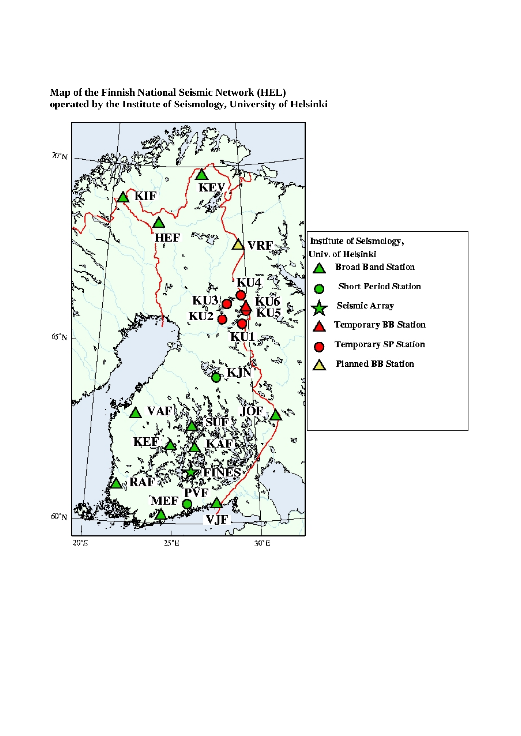

**Map of the Finnish National Seismic Network (HEL) operated by the Institute of Seismology, University of Helsinki**